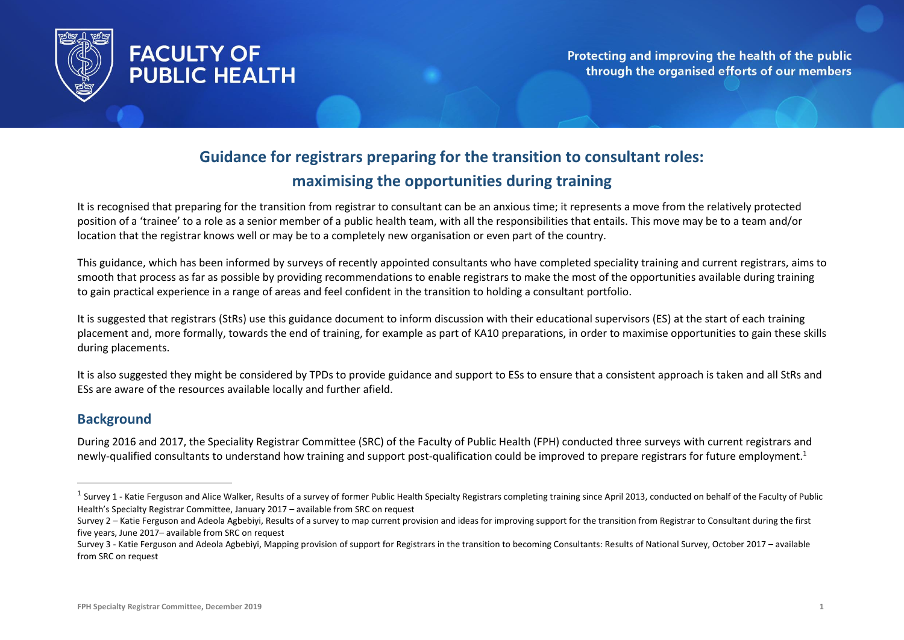

# **FACULTY OF PUBLIC HEALTH**

Protecting and improving the health of the public through the organised efforts of our members

## **Guidance for registrars preparing for the transition to consultant roles: maximising the opportunities during training**

It is recognised that preparing for the transition from registrar to consultant can be an anxious time; it represents a move from the relatively protected position of a 'trainee' to a role as a senior member of a public health team, with all the responsibilities that entails. This move may be to a team and/or location that the registrar knows well or may be to a completely new organisation or even part of the country.

This guidance, which has been informed by surveys of recently appointed consultants who have completed speciality training and current registrars, aims to smooth that process as far as possible by providing recommendations to enable registrars to make the most of the opportunities available during training to gain practical experience in a range of areas and feel confident in the transition to holding a consultant portfolio.

It is suggested that registrars (StRs) use this guidance document to inform discussion with their educational supervisors (ES) at the start of each training placement and, more formally, towards the end of training, for example as part of KA10 preparations, in order to maximise opportunities to gain these skills during placements.

It is also suggested they might be considered by TPDs to provide guidance and support to ESs to ensure that a consistent approach is taken and all StRs and ESs are aware of the resources available locally and further afield.

#### **Background**

 $\overline{a}$ 

During 2016 and 2017, the Speciality Registrar Committee (SRC) of the Faculty of Public Health (FPH) conducted three surveys with current registrars and newly-qualified consultants to understand how training and support post-qualification could be improved to prepare registrars for future employment.<sup>1</sup>

<sup>&</sup>lt;sup>1</sup> Survey 1 - Katie Ferguson and Alice Walker, Results of a survey of former Public Health Specialty Registrars completing training since April 2013, conducted on behalf of the Faculty of Public Health's Specialty Registrar Committee, January 2017 – available from SRC on request

Survey 2 - Katie Ferguson and Adeola Agbebiyi, Results of a survey to map current provision and ideas for improving support for the transition from Registrar to Consultant during the first five years, June 2017– available from SRC on request

Survey 3 - Katie Ferguson and Adeola Agbebiyi, Mapping provision of support for Registrars in the transition to becoming Consultants: Results of National Survey, October 2017 – available from SRC on request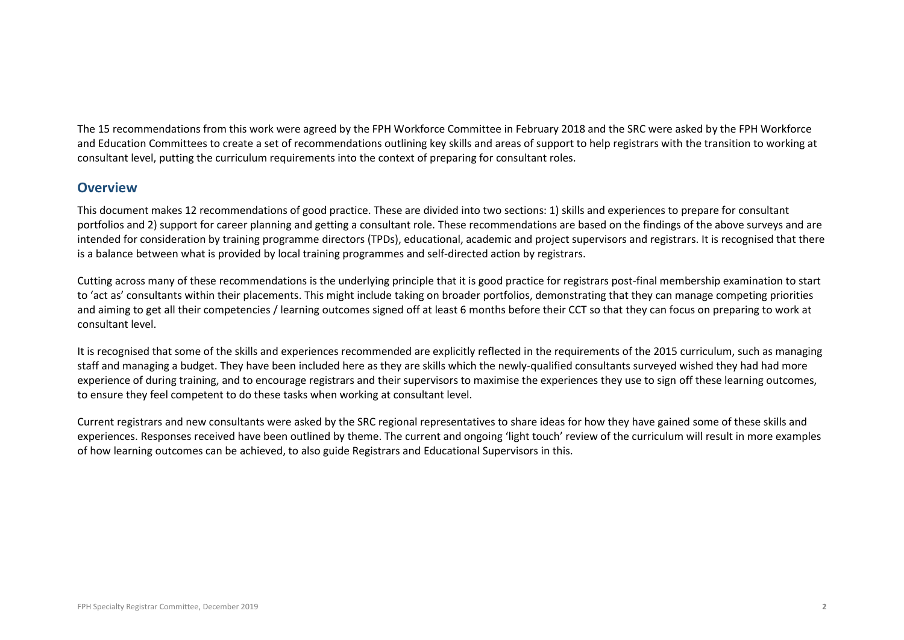The 15 recommendations from this work were agreed by the FPH Workforce Committee in February 2018 and the SRC were asked by the FPH Workforce and Education Committees to create a set of recommendations outlining key skills and areas of support to help registrars with the transition to working at consultant level, putting the curriculum requirements into the context of preparing for consultant roles.

#### **Overview**

This document makes 12 recommendations of good practice. These are divided into two sections: 1) skills and experiences to prepare for consultant portfolios and 2) support for career planning and getting a consultant role. These recommendations are based on the findings of the above surveys and are intended for consideration by training programme directors (TPDs), educational, academic and project supervisors and registrars. It is recognised that there is a balance between what is provided by local training programmes and self-directed action by registrars.

Cutting across many of these recommendations is the underlying principle that it is good practice for registrars post-final membership examination to start to 'act as' consultants within their placements. This might include taking on broader portfolios, demonstrating that they can manage competing priorities and aiming to get all their competencies / learning outcomes signed off at least 6 months before their CCT so that they can focus on preparing to work at consultant level.

It is recognised that some of the skills and experiences recommended are explicitly reflected in the requirements of the 2015 curriculum, such as managing staff and managing a budget. They have been included here as they are skills which the newly-qualified consultants surveyed wished they had had more experience of during training, and to encourage registrars and their supervisors to maximise the experiences they use to sign off these learning outcomes, to ensure they feel competent to do these tasks when working at consultant level.

Current registrars and new consultants were asked by the SRC regional representatives to share ideas for how they have gained some of these skills and experiences. Responses received have been outlined by theme. The current and ongoing 'light touch' review of the curriculum will result in more examples of how learning outcomes can be achieved, to also guide Registrars and Educational Supervisors in this.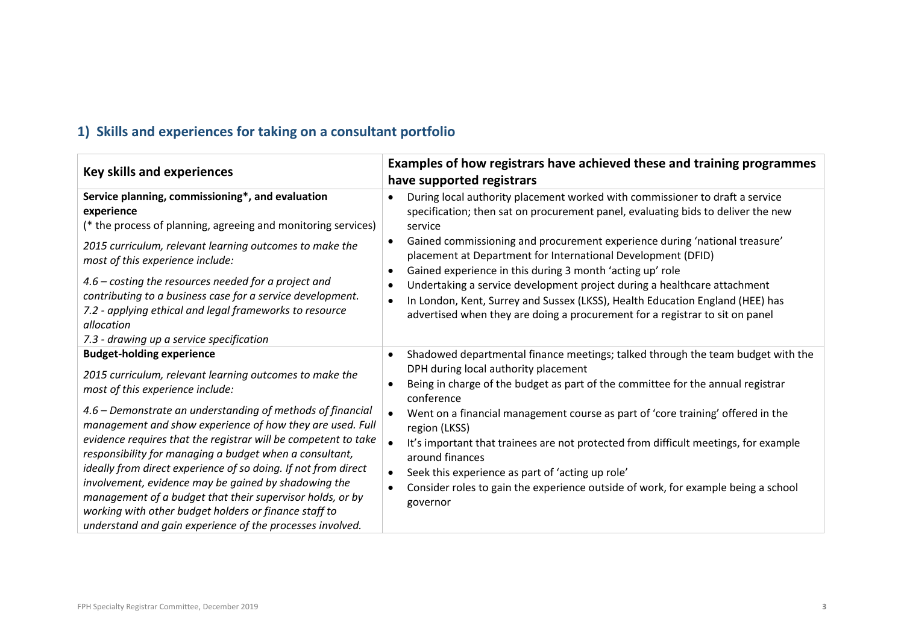## **1) Skills and experiences for taking on a consultant portfolio**

| <b>Key skills and experiences</b>                                                                                                                                                                                                                                                                                                                                                                                                                                                                                                                                                                                                                                                                    | Examples of how registrars have achieved these and training programmes                                                                                                                                                                                                                                                                                                                                                                                                                                                                                                                                                                                                                  |
|------------------------------------------------------------------------------------------------------------------------------------------------------------------------------------------------------------------------------------------------------------------------------------------------------------------------------------------------------------------------------------------------------------------------------------------------------------------------------------------------------------------------------------------------------------------------------------------------------------------------------------------------------------------------------------------------------|-----------------------------------------------------------------------------------------------------------------------------------------------------------------------------------------------------------------------------------------------------------------------------------------------------------------------------------------------------------------------------------------------------------------------------------------------------------------------------------------------------------------------------------------------------------------------------------------------------------------------------------------------------------------------------------------|
|                                                                                                                                                                                                                                                                                                                                                                                                                                                                                                                                                                                                                                                                                                      | have supported registrars                                                                                                                                                                                                                                                                                                                                                                                                                                                                                                                                                                                                                                                               |
| Service planning, commissioning*, and evaluation<br>experience<br>(* the process of planning, agreeing and monitoring services)<br>2015 curriculum, relevant learning outcomes to make the<br>most of this experience include:<br>4.6 - costing the resources needed for a project and<br>contributing to a business case for a service development.<br>7.2 - applying ethical and legal frameworks to resource<br>allocation<br>7.3 - drawing up a service specification                                                                                                                                                                                                                            | During local authority placement worked with commissioner to draft a service<br>specification; then sat on procurement panel, evaluating bids to deliver the new<br>service<br>Gained commissioning and procurement experience during 'national treasure'<br>$\bullet$<br>placement at Department for International Development (DFID)<br>Gained experience in this during 3 month 'acting up' role<br>$\bullet$<br>Undertaking a service development project during a healthcare attachment<br>$\bullet$<br>In London, Kent, Surrey and Sussex (LKSS), Health Education England (HEE) has<br>$\bullet$<br>advertised when they are doing a procurement for a registrar to sit on panel |
| <b>Budget-holding experience</b><br>2015 curriculum, relevant learning outcomes to make the<br>most of this experience include:<br>4.6 - Demonstrate an understanding of methods of financial<br>management and show experience of how they are used. Full<br>evidence requires that the registrar will be competent to take<br>responsibility for managing a budget when a consultant,<br>ideally from direct experience of so doing. If not from direct<br>involvement, evidence may be gained by shadowing the<br>management of a budget that their supervisor holds, or by<br>working with other budget holders or finance staff to<br>understand and gain experience of the processes involved. | Shadowed departmental finance meetings; talked through the team budget with the<br>DPH during local authority placement<br>Being in charge of the budget as part of the committee for the annual registrar<br>conference<br>Went on a financial management course as part of 'core training' offered in the<br>region (LKSS)<br>It's important that trainees are not protected from difficult meetings, for example<br>around finances<br>Seek this experience as part of 'acting up role'<br>$\bullet$<br>Consider roles to gain the experience outside of work, for example being a school<br>$\bullet$<br>governor                                                                   |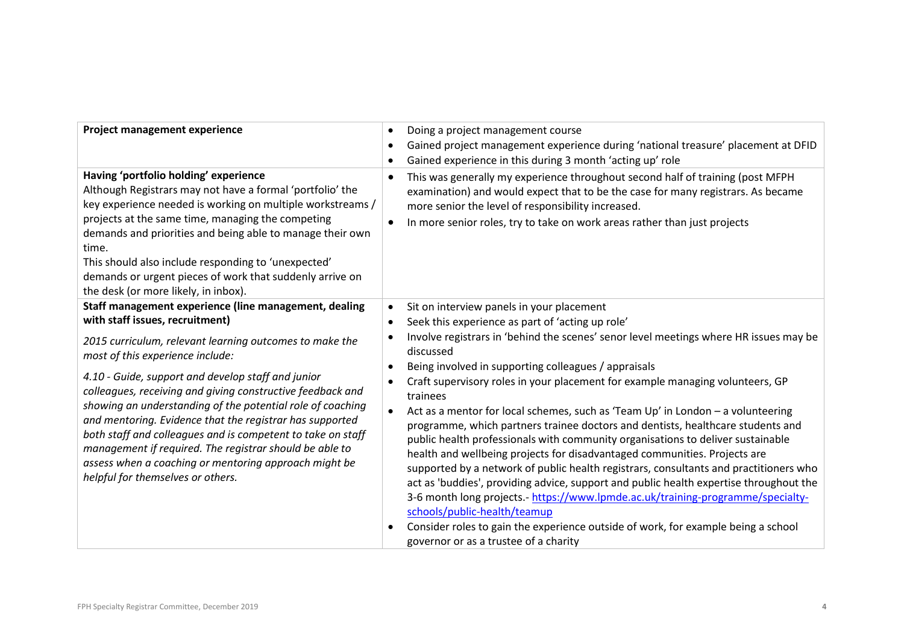| Project management experience                                                                                                                                                                                                                                                                                                                                                                                                                                                                                                                                                                                                                                 | Doing a project management course<br>$\bullet$<br>Gained project management experience during 'national treasure' placement at DFID<br>٠<br>Gained experience in this during 3 month 'acting up' role<br>$\bullet$                                                                                                                                                                                                                                                                                                                                                                                                                                                                                                                                                                                                                                                                                                                                                                                                                                                                                                               |
|---------------------------------------------------------------------------------------------------------------------------------------------------------------------------------------------------------------------------------------------------------------------------------------------------------------------------------------------------------------------------------------------------------------------------------------------------------------------------------------------------------------------------------------------------------------------------------------------------------------------------------------------------------------|----------------------------------------------------------------------------------------------------------------------------------------------------------------------------------------------------------------------------------------------------------------------------------------------------------------------------------------------------------------------------------------------------------------------------------------------------------------------------------------------------------------------------------------------------------------------------------------------------------------------------------------------------------------------------------------------------------------------------------------------------------------------------------------------------------------------------------------------------------------------------------------------------------------------------------------------------------------------------------------------------------------------------------------------------------------------------------------------------------------------------------|
| Having 'portfolio holding' experience<br>Although Registrars may not have a formal 'portfolio' the<br>key experience needed is working on multiple workstreams /<br>projects at the same time, managing the competing<br>demands and priorities and being able to manage their own<br>time.<br>This should also include responding to 'unexpected'<br>demands or urgent pieces of work that suddenly arrive on<br>the desk (or more likely, in inbox).                                                                                                                                                                                                        | This was generally my experience throughout second half of training (post MFPH<br>٠<br>examination) and would expect that to be the case for many registrars. As became<br>more senior the level of responsibility increased.<br>In more senior roles, try to take on work areas rather than just projects<br>٠                                                                                                                                                                                                                                                                                                                                                                                                                                                                                                                                                                                                                                                                                                                                                                                                                  |
| Staff management experience (line management, dealing<br>with staff issues, recruitment)<br>2015 curriculum, relevant learning outcomes to make the<br>most of this experience include:<br>4.10 - Guide, support and develop staff and junior<br>colleagues, receiving and giving constructive feedback and<br>showing an understanding of the potential role of coaching<br>and mentoring. Evidence that the registrar has supported<br>both staff and colleagues and is competent to take on staff<br>management if required. The registrar should be able to<br>assess when a coaching or mentoring approach might be<br>helpful for themselves or others. | Sit on interview panels in your placement<br>$\bullet$<br>Seek this experience as part of 'acting up role'<br>$\bullet$<br>Involve registrars in 'behind the scenes' senor level meetings where HR issues may be<br>discussed<br>Being involved in supporting colleagues / appraisals<br>Craft supervisory roles in your placement for example managing volunteers, GP<br>trainees<br>Act as a mentor for local schemes, such as 'Team Up' in London - a volunteering<br>$\bullet$<br>programme, which partners trainee doctors and dentists, healthcare students and<br>public health professionals with community organisations to deliver sustainable<br>health and wellbeing projects for disadvantaged communities. Projects are<br>supported by a network of public health registrars, consultants and practitioners who<br>act as 'buddies', providing advice, support and public health expertise throughout the<br>3-6 month long projects.- https://www.lpmde.ac.uk/training-programme/specialty-<br>schools/public-health/teamup<br>Consider roles to gain the experience outside of work, for example being a school |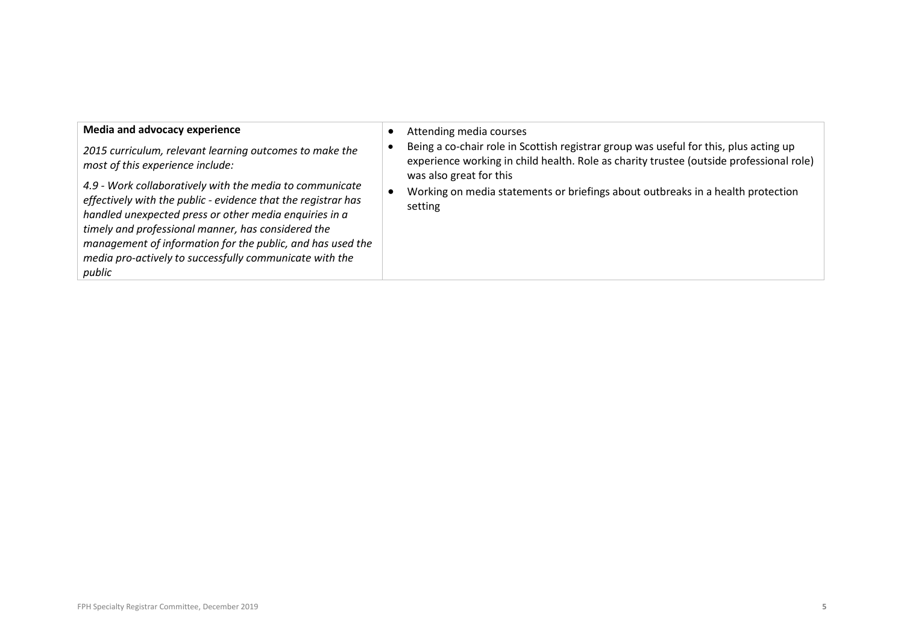| Media and advocacy experience<br>2015 curriculum, relevant learning outcomes to make the<br>most of this experience include:<br>4.9 - Work collaboratively with the media to communicate<br>effectively with the public - evidence that the registrar has<br>handled unexpected press or other media enquiries in a<br>timely and professional manner, has considered the<br>management of information for the public, and has used the<br>media pro-actively to successfully communicate with the<br>public | Attending media courses<br>Being a co-chair role in Scottish registrar group was useful for this, plus acting up<br>experience working in child health. Role as charity trustee (outside professional role)<br>was also great for this<br>Working on media statements or briefings about outbreaks in a health protection<br>setting |
|--------------------------------------------------------------------------------------------------------------------------------------------------------------------------------------------------------------------------------------------------------------------------------------------------------------------------------------------------------------------------------------------------------------------------------------------------------------------------------------------------------------|--------------------------------------------------------------------------------------------------------------------------------------------------------------------------------------------------------------------------------------------------------------------------------------------------------------------------------------|
|--------------------------------------------------------------------------------------------------------------------------------------------------------------------------------------------------------------------------------------------------------------------------------------------------------------------------------------------------------------------------------------------------------------------------------------------------------------------------------------------------------------|--------------------------------------------------------------------------------------------------------------------------------------------------------------------------------------------------------------------------------------------------------------------------------------------------------------------------------------|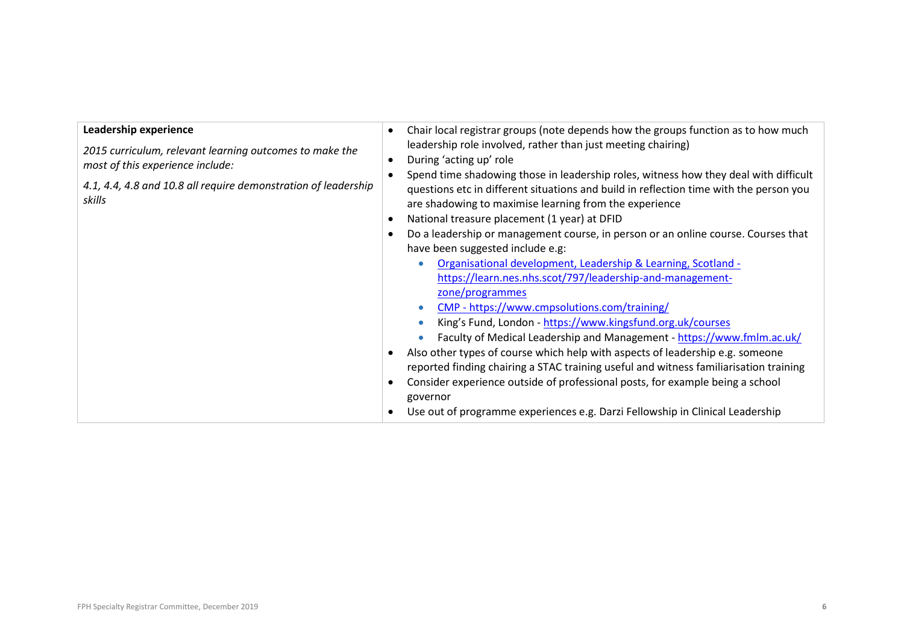| Leadership experience<br>2015 curriculum, relevant learning outcomes to make the<br>most of this experience include:<br>4.1, 4.4, 4.8 and 10.8 all require demonstration of leadership<br>skills | Chair local registrar groups (note depends how the groups function as to how much<br>$\bullet$<br>leadership role involved, rather than just meeting chairing)<br>During 'acting up' role<br>$\bullet$<br>Spend time shadowing those in leadership roles, witness how they deal with difficult<br>$\bullet$<br>questions etc in different situations and build in reflection time with the person you<br>are shadowing to maximise learning from the experience<br>National treasure placement (1 year) at DFID<br>$\bullet$<br>Do a leadership or management course, in person or an online course. Courses that<br>$\bullet$<br>have been suggested include e.g:<br>Organisational development, Leadership & Learning, Scotland -<br>$\bullet$<br>https://learn.nes.nhs.scot/797/leadership-and-management-<br>zone/programmes<br>CMP - https://www.cmpsolutions.com/training/<br>$\bullet$<br>King's Fund, London - https://www.kingsfund.org.uk/courses<br>Faculty of Medical Leadership and Management - https://www.fmlm.ac.uk/<br>Also other types of course which help with aspects of leadership e.g. someone<br>reported finding chairing a STAC training useful and witness familiarisation training<br>Consider experience outside of professional posts, for example being a school<br>governor<br>Use out of programme experiences e.g. Darzi Fellowship in Clinical Leadership |
|--------------------------------------------------------------------------------------------------------------------------------------------------------------------------------------------------|-----------------------------------------------------------------------------------------------------------------------------------------------------------------------------------------------------------------------------------------------------------------------------------------------------------------------------------------------------------------------------------------------------------------------------------------------------------------------------------------------------------------------------------------------------------------------------------------------------------------------------------------------------------------------------------------------------------------------------------------------------------------------------------------------------------------------------------------------------------------------------------------------------------------------------------------------------------------------------------------------------------------------------------------------------------------------------------------------------------------------------------------------------------------------------------------------------------------------------------------------------------------------------------------------------------------------------------------------------------------------------------------------|
|--------------------------------------------------------------------------------------------------------------------------------------------------------------------------------------------------|-----------------------------------------------------------------------------------------------------------------------------------------------------------------------------------------------------------------------------------------------------------------------------------------------------------------------------------------------------------------------------------------------------------------------------------------------------------------------------------------------------------------------------------------------------------------------------------------------------------------------------------------------------------------------------------------------------------------------------------------------------------------------------------------------------------------------------------------------------------------------------------------------------------------------------------------------------------------------------------------------------------------------------------------------------------------------------------------------------------------------------------------------------------------------------------------------------------------------------------------------------------------------------------------------------------------------------------------------------------------------------------------------|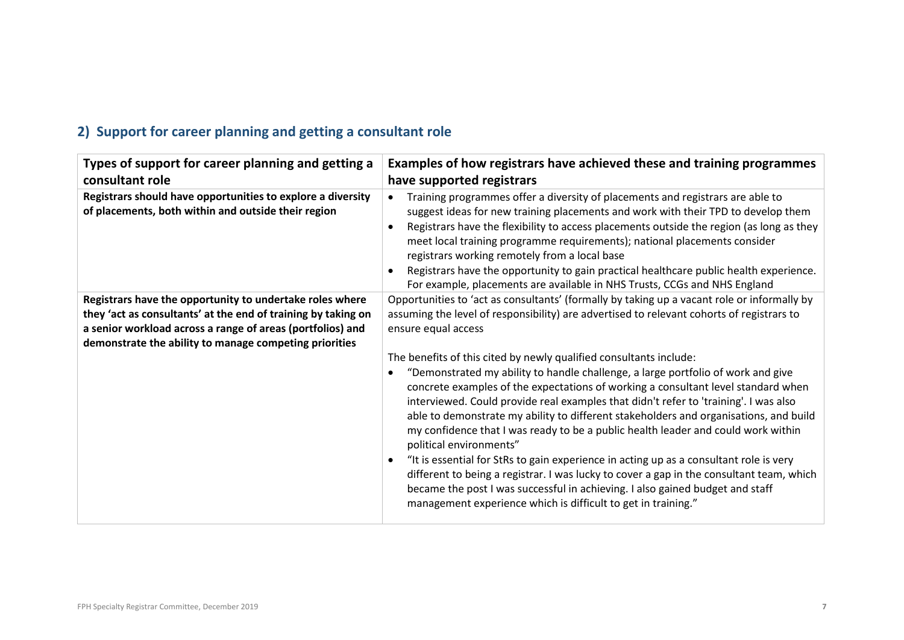## **2) Support for career planning and getting a consultant role**

| Types of support for career planning and getting a<br>consultant role                                                                                                                                                                             | Examples of how registrars have achieved these and training programmes<br>have supported registrars                                                                                                                                                                                                                                                                                                                                                                                                                                                                                                                                                                                                                                                                                                                                                                                                                                                                                                                                                                                                     |
|---------------------------------------------------------------------------------------------------------------------------------------------------------------------------------------------------------------------------------------------------|---------------------------------------------------------------------------------------------------------------------------------------------------------------------------------------------------------------------------------------------------------------------------------------------------------------------------------------------------------------------------------------------------------------------------------------------------------------------------------------------------------------------------------------------------------------------------------------------------------------------------------------------------------------------------------------------------------------------------------------------------------------------------------------------------------------------------------------------------------------------------------------------------------------------------------------------------------------------------------------------------------------------------------------------------------------------------------------------------------|
| Registrars should have opportunities to explore a diversity<br>of placements, both within and outside their region                                                                                                                                | Training programmes offer a diversity of placements and registrars are able to<br>$\bullet$<br>suggest ideas for new training placements and work with their TPD to develop them<br>Registrars have the flexibility to access placements outside the region (as long as they<br>$\bullet$<br>meet local training programme requirements); national placements consider<br>registrars working remotely from a local base<br>Registrars have the opportunity to gain practical healthcare public health experience.<br>For example, placements are available in NHS Trusts, CCGs and NHS England                                                                                                                                                                                                                                                                                                                                                                                                                                                                                                          |
| Registrars have the opportunity to undertake roles where<br>they 'act as consultants' at the end of training by taking on<br>a senior workload across a range of areas (portfolios) and<br>demonstrate the ability to manage competing priorities | Opportunities to 'act as consultants' (formally by taking up a vacant role or informally by<br>assuming the level of responsibility) are advertised to relevant cohorts of registrars to<br>ensure equal access<br>The benefits of this cited by newly qualified consultants include:<br>"Demonstrated my ability to handle challenge, a large portfolio of work and give<br>concrete examples of the expectations of working a consultant level standard when<br>interviewed. Could provide real examples that didn't refer to 'training'. I was also<br>able to demonstrate my ability to different stakeholders and organisations, and build<br>my confidence that I was ready to be a public health leader and could work within<br>political environments"<br>"It is essential for StRs to gain experience in acting up as a consultant role is very<br>different to being a registrar. I was lucky to cover a gap in the consultant team, which<br>became the post I was successful in achieving. I also gained budget and staff<br>management experience which is difficult to get in training." |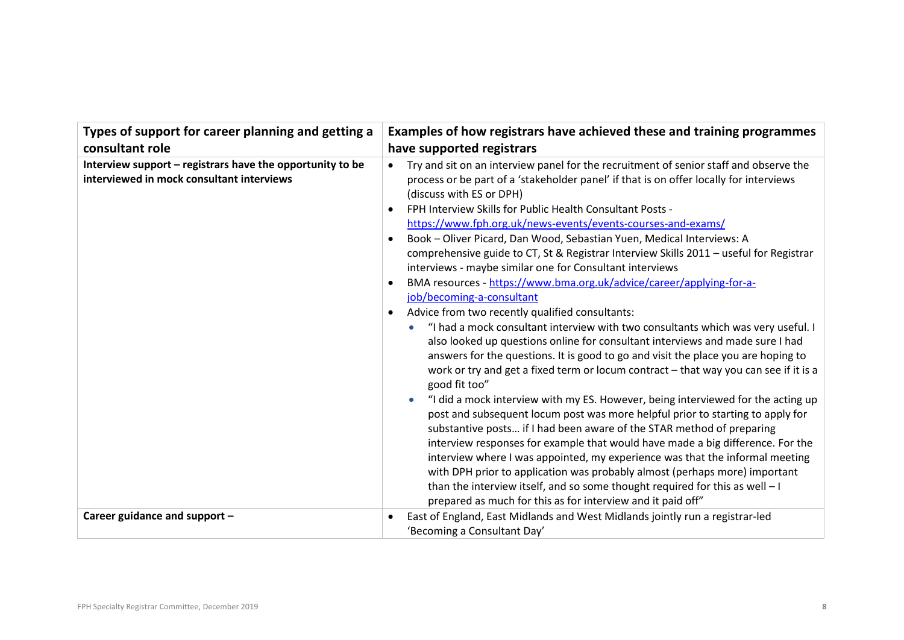| Types of support for career planning and getting a                                                     | Examples of how registrars have achieved these and training programmes                                                                                                                                                                                                                                                                                                                                                                                                                                                                                                                                                                                                                                                                                                                                                                                                                                                                                                                                                                                                                                                                                                                                                                                                                                                                                                                                                                                                                                                                                                                                                                                                                                                                                                     |
|--------------------------------------------------------------------------------------------------------|----------------------------------------------------------------------------------------------------------------------------------------------------------------------------------------------------------------------------------------------------------------------------------------------------------------------------------------------------------------------------------------------------------------------------------------------------------------------------------------------------------------------------------------------------------------------------------------------------------------------------------------------------------------------------------------------------------------------------------------------------------------------------------------------------------------------------------------------------------------------------------------------------------------------------------------------------------------------------------------------------------------------------------------------------------------------------------------------------------------------------------------------------------------------------------------------------------------------------------------------------------------------------------------------------------------------------------------------------------------------------------------------------------------------------------------------------------------------------------------------------------------------------------------------------------------------------------------------------------------------------------------------------------------------------------------------------------------------------------------------------------------------------|
| consultant role                                                                                        | have supported registrars                                                                                                                                                                                                                                                                                                                                                                                                                                                                                                                                                                                                                                                                                                                                                                                                                                                                                                                                                                                                                                                                                                                                                                                                                                                                                                                                                                                                                                                                                                                                                                                                                                                                                                                                                  |
| Interview support - registrars have the opportunity to be<br>interviewed in mock consultant interviews | Try and sit on an interview panel for the recruitment of senior staff and observe the<br>$\bullet$<br>process or be part of a 'stakeholder panel' if that is on offer locally for interviews<br>(discuss with ES or DPH)<br>FPH Interview Skills for Public Health Consultant Posts -<br>https://www.fph.org.uk/news-events/events-courses-and-exams/<br>Book - Oliver Picard, Dan Wood, Sebastian Yuen, Medical Interviews: A<br>comprehensive guide to CT, St & Registrar Interview Skills 2011 - useful for Registrar<br>interviews - maybe similar one for Consultant interviews<br>BMA resources - https://www.bma.org.uk/advice/career/applying-for-a-<br>job/becoming-a-consultant<br>Advice from two recently qualified consultants:<br>$\bullet$<br>"I had a mock consultant interview with two consultants which was very useful. I<br>also looked up questions online for consultant interviews and made sure I had<br>answers for the questions. It is good to go and visit the place you are hoping to<br>work or try and get a fixed term or locum contract - that way you can see if it is a<br>good fit too"<br>"I did a mock interview with my ES. However, being interviewed for the acting up<br>post and subsequent locum post was more helpful prior to starting to apply for<br>substantive posts if I had been aware of the STAR method of preparing<br>interview responses for example that would have made a big difference. For the<br>interview where I was appointed, my experience was that the informal meeting<br>with DPH prior to application was probably almost (perhaps more) important<br>than the interview itself, and so some thought required for this as well - I<br>prepared as much for this as for interview and it paid off" |
| Career guidance and support -                                                                          | East of England, East Midlands and West Midlands jointly run a registrar-led                                                                                                                                                                                                                                                                                                                                                                                                                                                                                                                                                                                                                                                                                                                                                                                                                                                                                                                                                                                                                                                                                                                                                                                                                                                                                                                                                                                                                                                                                                                                                                                                                                                                                               |
|                                                                                                        | 'Becoming a Consultant Day'                                                                                                                                                                                                                                                                                                                                                                                                                                                                                                                                                                                                                                                                                                                                                                                                                                                                                                                                                                                                                                                                                                                                                                                                                                                                                                                                                                                                                                                                                                                                                                                                                                                                                                                                                |
|                                                                                                        |                                                                                                                                                                                                                                                                                                                                                                                                                                                                                                                                                                                                                                                                                                                                                                                                                                                                                                                                                                                                                                                                                                                                                                                                                                                                                                                                                                                                                                                                                                                                                                                                                                                                                                                                                                            |